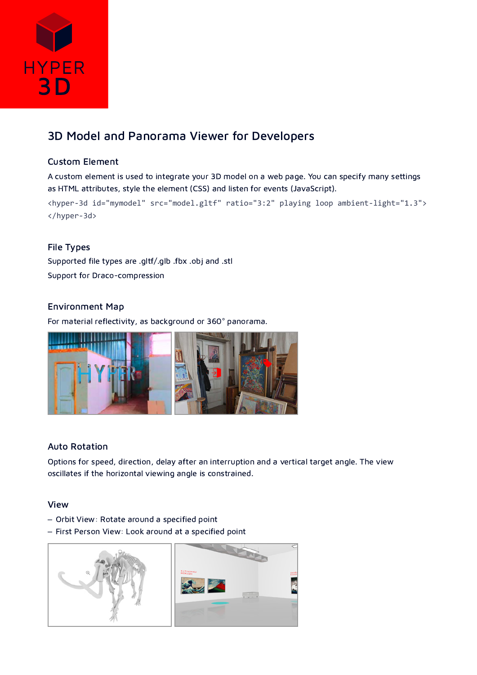

# 3D Model and Panorama Viewer for Developers

## Custom Element

A custom element is used to integrate your 3D model on a web page. You can specify many settings as HTML attributes, style the element (CSS) and listen for events (JavaScript).

<hyper-3d id="mymodel" src="model.gltf" ratio="3:2" playing loop ambient-light="1.3"> </hyper-3d>

## File Types

Supported file types are .gltf/.glb .fbx .obj and .stl Support for Draco-compression

## Environment Map

For material reflectivity, as background or 360° panorama.



#### Auto Rotation

Options for speed, direction, delay after an interruption and a vertical target angle. The view oscillates if the horizontal viewing angle is constrained.

## View

- Orbit View: Rotate around a specified point
- First Person View: Look around at a specified point

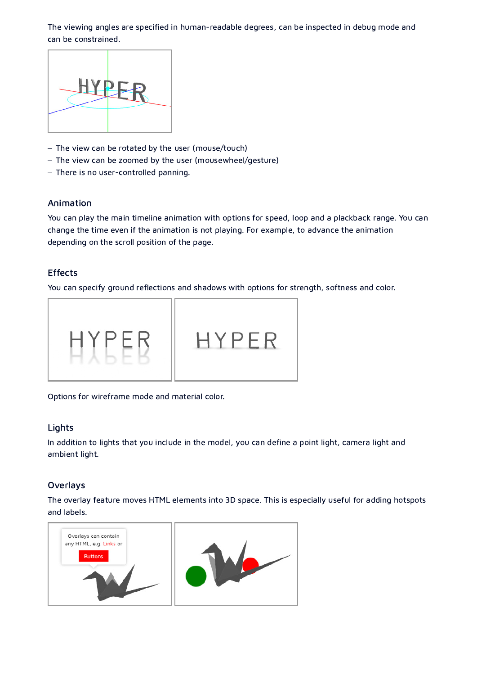The viewing angles are specified in human-readable degrees, can be inspected in debug mode and can be constrained.



- The view can be rotated by the user (mouse/touch)
- The view can be zoomed by the user (mousewheel/gesture)
- There is no user-controlled panning.

#### Animation

You can play the main timeline animation with options for speed, loop and a plackback range. You can change the time even if the animation is not playing. For example, to advance the animation depending on the scroll position of the page.

### Effects

You can specify ground reflections and shadows with options for strength, softness and color.



Options for wireframe mode and material color.

#### Lights

In addition to lights that you include in the model, you can define a point light, camera light and ambient light.

#### Overlays

The overlay feature moves HTML elements into 3D space. This is especially useful for adding hotspots and labels.

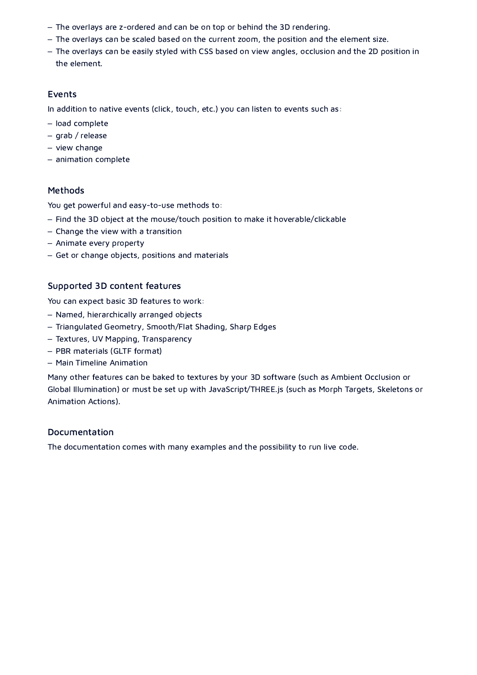- The overlays are z-ordered and can be on top or behind the 3D rendering.
- The overlays can be scaled based on the current zoom, the position and the element size.
- The overlays can be easily styled with CSS based on view angles, occlusion and the 2D position in the element.

### Events

In addition to native events (click, touch, etc.) you can listen to events such as:

- load complete
- grab / release
- view change
- animation complete

## Methods

You get powerful and easy-to-use methods to:

- Find the 3D object at the mouse/touch position to make it hoverable/clickable
- Change the view with a transition
- Animate every property
- Get or change objects, positions and materials

## Supported 3D content features

You can expect basic 3D features to work:

- Named, hierarchically arranged objects
- Triangulated Geometry, Smooth/Flat Shading, Sharp Edges
- Textures, UV Mapping, Transparency
- PBR materials (GLTF format)
- Main Timeline Animation

Many other features can be baked to textures by your 3D software (such as Ambient Occlusion or Global Illumination) or must be set up with JavaScript/THREE.js (such as Morph Targets, Skeletons or Animation Actions).

#### Documentation

The documentation comes with many examples and the possibility to run live code.